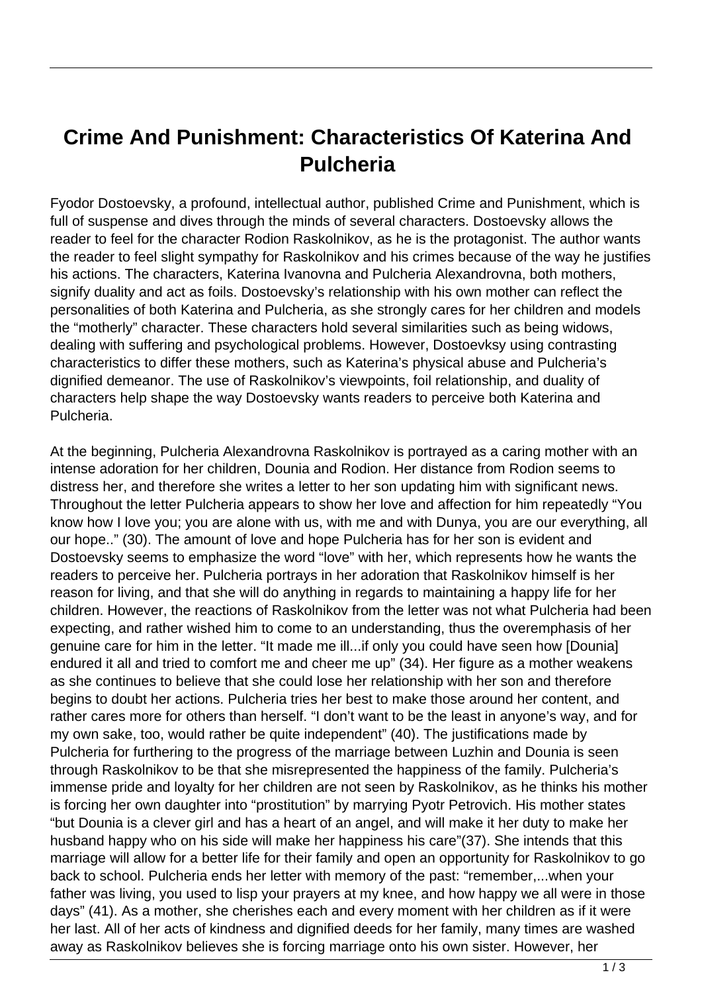## **Crime And Punishment: Characteristics Of Katerina And Pulcheria**

Fyodor Dostoevsky, a profound, intellectual author, published Crime and Punishment, which is full of suspense and dives through the minds of several characters. Dostoevsky allows the reader to feel for the character Rodion Raskolnikov, as he is the protagonist. The author wants the reader to feel slight sympathy for Raskolnikov and his crimes because of the way he justifies his actions. The characters, Katerina Ivanovna and Pulcheria Alexandrovna, both mothers, signify duality and act as foils. Dostoevsky's relationship with his own mother can reflect the personalities of both Katerina and Pulcheria, as she strongly cares for her children and models the "motherly" character. These characters hold several similarities such as being widows, dealing with suffering and psychological problems. However, Dostoevksy using contrasting characteristics to differ these mothers, such as Katerina's physical abuse and Pulcheria's dignified demeanor. The use of Raskolnikov's viewpoints, foil relationship, and duality of characters help shape the way Dostoevsky wants readers to perceive both Katerina and Pulcheria.

At the beginning, Pulcheria Alexandrovna Raskolnikov is portrayed as a caring mother with an intense adoration for her children, Dounia and Rodion. Her distance from Rodion seems to distress her, and therefore she writes a letter to her son updating him with significant news. Throughout the letter Pulcheria appears to show her love and affection for him repeatedly "You know how I love you; you are alone with us, with me and with Dunya, you are our everything, all our hope.." (30). The amount of love and hope Pulcheria has for her son is evident and Dostoevsky seems to emphasize the word "love" with her, which represents how he wants the readers to perceive her. Pulcheria portrays in her adoration that Raskolnikov himself is her reason for living, and that she will do anything in regards to maintaining a happy life for her children. However, the reactions of Raskolnikov from the letter was not what Pulcheria had been expecting, and rather wished him to come to an understanding, thus the overemphasis of her genuine care for him in the letter. "It made me ill...if only you could have seen how [Dounia] endured it all and tried to comfort me and cheer me up" (34). Her figure as a mother weakens as she continues to believe that she could lose her relationship with her son and therefore begins to doubt her actions. Pulcheria tries her best to make those around her content, and rather cares more for others than herself. "I don't want to be the least in anyone's way, and for my own sake, too, would rather be quite independent" (40). The justifications made by Pulcheria for furthering to the progress of the marriage between Luzhin and Dounia is seen through Raskolnikov to be that she misrepresented the happiness of the family. Pulcheria's immense pride and loyalty for her children are not seen by Raskolnikov, as he thinks his mother is forcing her own daughter into "prostitution" by marrying Pyotr Petrovich. His mother states "but Dounia is a clever girl and has a heart of an angel, and will make it her duty to make her husband happy who on his side will make her happiness his care"(37). She intends that this marriage will allow for a better life for their family and open an opportunity for Raskolnikov to go back to school. Pulcheria ends her letter with memory of the past: "remember,...when your father was living, you used to lisp your prayers at my knee, and how happy we all were in those days" (41). As a mother, she cherishes each and every moment with her children as if it were her last. All of her acts of kindness and dignified deeds for her family, many times are washed away as Raskolnikov believes she is forcing marriage onto his own sister. However, her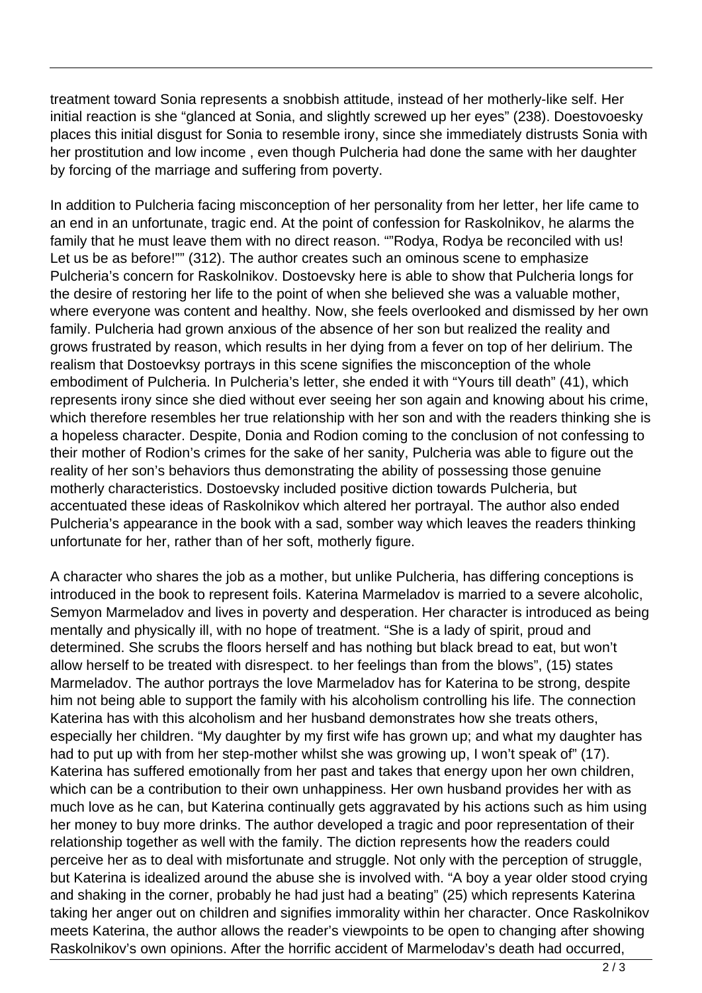treatment toward Sonia represents a snobbish attitude, instead of her motherly-like self. Her initial reaction is she "glanced at Sonia, and slightly screwed up her eyes" (238). Doestovoesky places this initial disgust for Sonia to resemble irony, since she immediately distrusts Sonia with her prostitution and low income , even though Pulcheria had done the same with her daughter by forcing of the marriage and suffering from poverty.

In addition to Pulcheria facing misconception of her personality from her letter, her life came to an end in an unfortunate, tragic end. At the point of confession for Raskolnikov, he alarms the family that he must leave them with no direct reason. ""Rodya, Rodya be reconciled with us! Let us be as before!"" (312). The author creates such an ominous scene to emphasize Pulcheria's concern for Raskolnikov. Dostoevsky here is able to show that Pulcheria longs for the desire of restoring her life to the point of when she believed she was a valuable mother, where everyone was content and healthy. Now, she feels overlooked and dismissed by her own family. Pulcheria had grown anxious of the absence of her son but realized the reality and grows frustrated by reason, which results in her dying from a fever on top of her delirium. The realism that Dostoevksy portrays in this scene signifies the misconception of the whole embodiment of Pulcheria. In Pulcheria's letter, she ended it with "Yours till death" (41), which represents irony since she died without ever seeing her son again and knowing about his crime, which therefore resembles her true relationship with her son and with the readers thinking she is a hopeless character. Despite, Donia and Rodion coming to the conclusion of not confessing to their mother of Rodion's crimes for the sake of her sanity, Pulcheria was able to figure out the reality of her son's behaviors thus demonstrating the ability of possessing those genuine motherly characteristics. Dostoevsky included positive diction towards Pulcheria, but accentuated these ideas of Raskolnikov which altered her portrayal. The author also ended Pulcheria's appearance in the book with a sad, somber way which leaves the readers thinking unfortunate for her, rather than of her soft, motherly figure.

A character who shares the job as a mother, but unlike Pulcheria, has differing conceptions is introduced in the book to represent foils. Katerina Marmeladov is married to a severe alcoholic, Semyon Marmeladov and lives in poverty and desperation. Her character is introduced as being mentally and physically ill, with no hope of treatment. "She is a lady of spirit, proud and determined. She scrubs the floors herself and has nothing but black bread to eat, but won't allow herself to be treated with disrespect. to her feelings than from the blows", (15) states Marmeladov. The author portrays the love Marmeladov has for Katerina to be strong, despite him not being able to support the family with his alcoholism controlling his life. The connection Katerina has with this alcoholism and her husband demonstrates how she treats others, especially her children. "My daughter by my first wife has grown up; and what my daughter has had to put up with from her step-mother whilst she was growing up, I won't speak of" (17). Katerina has suffered emotionally from her past and takes that energy upon her own children, which can be a contribution to their own unhappiness. Her own husband provides her with as much love as he can, but Katerina continually gets aggravated by his actions such as him using her money to buy more drinks. The author developed a tragic and poor representation of their relationship together as well with the family. The diction represents how the readers could perceive her as to deal with misfortunate and struggle. Not only with the perception of struggle, but Katerina is idealized around the abuse she is involved with. "A boy a year older stood crying and shaking in the corner, probably he had just had a beating" (25) which represents Katerina taking her anger out on children and signifies immorality within her character. Once Raskolnikov meets Katerina, the author allows the reader's viewpoints to be open to changing after showing Raskolnikov's own opinions. After the horrific accident of Marmelodav's death had occurred,